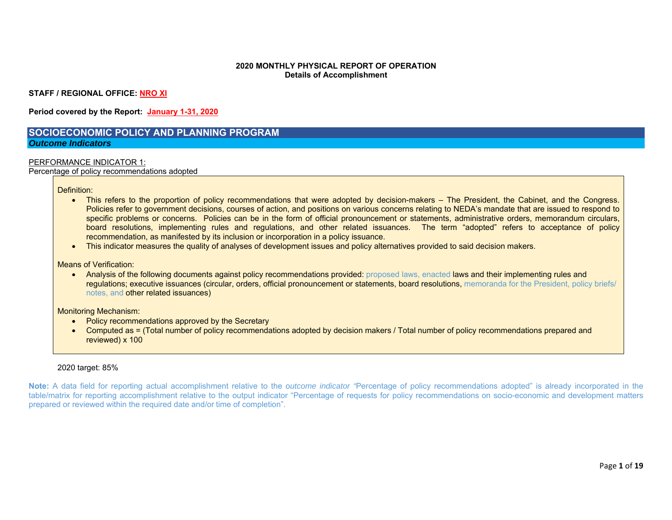#### **2020 MONTHLY PHYSICAL REPORT OF OPERATION Details of Accomplishment**

**STAFF / REGIONAL OFFICE: NRO XI** 

**Period covered by the Report: January 1-31, 2020** 

### **SOCIOECONOMIC POLICY AND PLANNING PROGRAM** *Outcome Indicators*

#### PERFORMANCE INDICATOR 1:

Percentage of policy recommendations adopted

Definition:

- This refers to the proportion of policy recommendations that were adopted by decision-makers The President, the Cabinet, and the Congress. Policies refer to government decisions, courses of action, and positions on various concerns relating to NEDA's mandate that are issued to respond to specific problems or concerns. Policies can be in the form of official pronouncement or statements, administrative orders, memorandum circulars, board resolutions, implementing rules and regulations, and other related issuances. The term "adopted" refers to acceptance of policy recommendation, as manifested by its inclusion or incorporation in a policy issuance.
- This indicator measures the quality of analyses of development issues and policy alternatives provided to said decision makers.

Means of Verification:

• Analysis of the following documents against policy recommendations provided: proposed laws, enacted laws and their implementing rules and regulations; executive issuances (circular, orders, official pronouncement or statements, board resolutions, memoranda for the President, policy briefs/ notes, and other related issuances)

Monitoring Mechanism:

- Policy recommendations approved by the Secretary
- Computed as = (Total number of policy recommendations adopted by decision makers / Total number of policy recommendations prepared and reviewed) x 100

#### 2020 target: 85%

**Note:** A data field for reporting actual accomplishment relative to the o*utcome indicator "*Percentage of policy recommendations adopted" is already incorporated in the table/matrix for reporting accomplishment relative to the output indicator "Percentage of requests for policy recommendations on socio-economic and development matters prepared or reviewed within the required date and/or time of completion".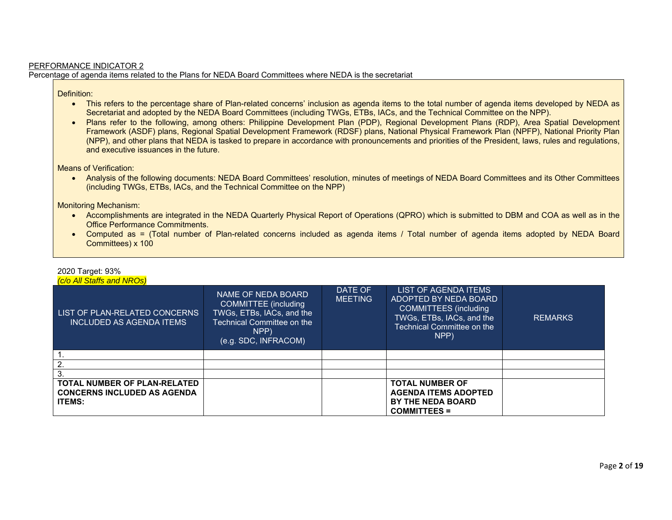## PERFORMANCE INDICATOR 2 Percentage of agenda items related to the Plans for NEDA Board Committees where NEDA is the secretariat

# Definition:

- This refers to the percentage share of Plan-related concerns' inclusion as agenda items to the total number of agenda items developed by NEDA as Secretariat and adopted by the NEDA Board Committees (including TWGs, ETBs, IACs, and the Technical Committee on the NPP).
- Plans refer to the following, among others: Philippine Development Plan (PDP), Regional Development Plans (RDP), Area Spatial Development Framework (ASDF) plans, Regional Spatial Development Framework (RDSF) plans, National Physical Framework Plan (NPFP), National Priority Plan (NPP), and other plans that NEDA is tasked to prepare in accordance with pronouncements and priorities of the President, laws, rules and regulations, and executive issuances in the future.

Means of Verification:

 Analysis of the following documents: NEDA Board Committees' resolution, minutes of meetings of NEDA Board Committees and its Other Committees (including TWGs, ETBs, IACs, and the Technical Committee on the NPP)

Monitoring Mechanism:

- Accomplishments are integrated in the NEDA Quarterly Physical Report of Operations (QPRO) which is submitted to DBM and COA as well as in the Office Performance Commitments.
- Computed as = (Total number of Plan-related concerns included as agenda items / Total number of agenda items adopted by NEDA Board Committees) x 100

| <b>C/o All Staffs and NROs)</b>                                                            |                                                                                                                                       |                           |                                                                                                                                                         |                |
|--------------------------------------------------------------------------------------------|---------------------------------------------------------------------------------------------------------------------------------------|---------------------------|---------------------------------------------------------------------------------------------------------------------------------------------------------|----------------|
| LIST OF PLAN-RELATED CONCERNS<br><b>INCLUDED AS AGENDA ITEMS</b>                           | NAME OF NEDA BOARD<br>COMMITTEE (including<br>TWGs, ETBs, IACs, and the<br>Technical Committee on the<br>NPP)<br>(e.g. SDC, INFRACOM) | DATE OF<br><b>MEETING</b> | LIST OF AGENDA ITEMS<br><b>ADOPTED BY NEDA BOARD</b><br><b>COMMITTEES</b> (including<br>TWGs, ETBs, IACs, and the<br>Technical Committee on the<br>NPP) | <b>REMARKS</b> |
|                                                                                            |                                                                                                                                       |                           |                                                                                                                                                         |                |
| $\overline{2}$                                                                             |                                                                                                                                       |                           |                                                                                                                                                         |                |
| 3.                                                                                         |                                                                                                                                       |                           |                                                                                                                                                         |                |
| <b>TOTAL NUMBER OF PLAN-RELATED</b><br><b>CONCERNS INCLUDED AS AGENDA</b><br><b>ITEMS:</b> |                                                                                                                                       |                           | <b>TOTAL NUMBER OF</b><br><b>AGENDA ITEMS ADOPTED</b><br><b>BY THE NEDA BOARD</b><br><b>COMMITTEES =</b>                                                |                |

# 2020 Target: 93%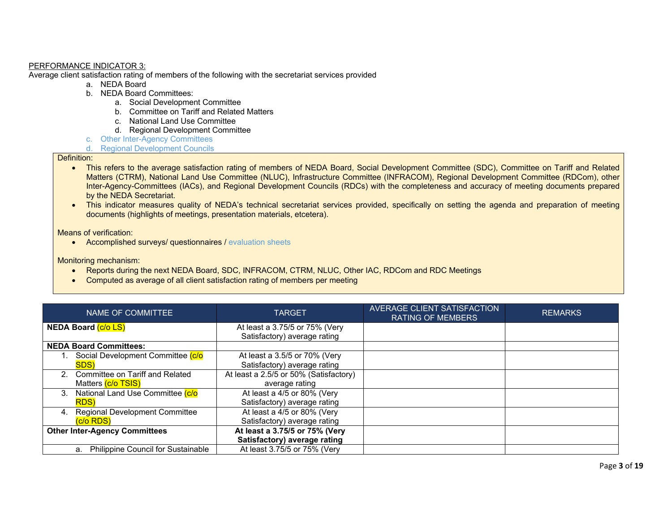#### PERFORMANCE INDICATOR 3:

Average client satisfaction rating of members of the following with the secretariat services provided

- a. NEDA Board
- b. NEDA Board Committees:
	- a. Social Development Committee
	- b. Committee on Tariff and Related Matters
	- c. National Land Use Committee
	- d. Regional Development Committee
- c. Other Inter-Agency Committees
- d. Regional Development Councils

#### Definition:

- This refers to the average satisfaction rating of members of NEDA Board, Social Development Committee (SDC), Committee on Tariff and Related Matters (CTRM), National Land Use Committee (NLUC), Infrastructure Committee (INFRACOM), Regional Development Committee (RDCom), other Inter-Agency-Committees (IACs), and Regional Development Councils (RDCs) with the completeness and accuracy of meeting documents prepared by the NEDA Secretariat.
- This indicator measures quality of NEDA's technical secretariat services provided, specifically on setting the agenda and preparation of meeting documents (highlights of meetings, presentation materials, etcetera).

Means of verification:

• Accomplished surveys/ questionnaires / evaluation sheets

Monitoring mechanism:

- Reports during the next NEDA Board, SDC, INFRACOM, CTRM, NLUC, Other IAC, RDCom and RDC Meetings
- Computed as average of all client satisfaction rating of members per meeting

| NAME OF COMMITTEE                           | <b>TARGET</b>                          | AVERAGE CLIENT SATISFACTION<br><b>RATING OF MEMBERS</b> | <b>REMARKS</b> |
|---------------------------------------------|----------------------------------------|---------------------------------------------------------|----------------|
| <b>NEDA Board (c/o LS)</b>                  | At least a 3.75/5 or 75% (Very         |                                                         |                |
|                                             | Satisfactory) average rating           |                                                         |                |
| <b>NEDA Board Committees:</b>               |                                        |                                                         |                |
| Social Development Committee (c/o           | At least a 3.5/5 or 70% (Very          |                                                         |                |
| <b>SDS</b> )                                | Satisfactory) average rating           |                                                         |                |
| 2. Committee on Tariff and Related          | At least a 2.5/5 or 50% (Satisfactory) |                                                         |                |
| Matters (c/o TSIS)                          | average rating                         |                                                         |                |
| National Land Use Committee (c/o<br>3.      | At least a 4/5 or 80% (Very            |                                                         |                |
| <b>RDS</b> )                                | Satisfactory) average rating           |                                                         |                |
| <b>Regional Development Committee</b><br>4. | At least a 4/5 or 80% (Very            |                                                         |                |
| (c/o RDS)                                   | Satisfactory) average rating           |                                                         |                |
| <b>Other Inter-Agency Committees</b>        | At least a 3.75/5 or 75% (Very         |                                                         |                |
|                                             | Satisfactory) average rating           |                                                         |                |
| a. Philippine Council for Sustainable       | At least 3.75/5 or 75% (Very           |                                                         |                |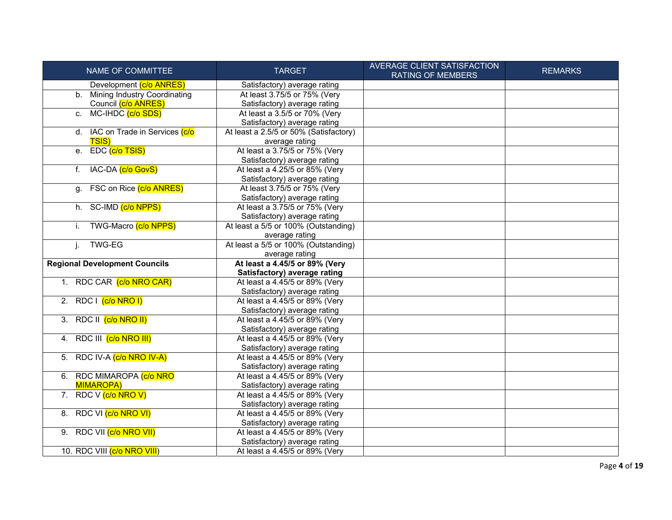| NAME OF COMMITTEE                    | <b>TARGET</b>                                                  | <b>AVERAGE CLIENT SATISFACTION</b><br><b>RATING OF MEMBERS</b> | <b>REMARKS</b> |
|--------------------------------------|----------------------------------------------------------------|----------------------------------------------------------------|----------------|
| Development (c/o ANRES)              | Satisfactory) average rating                                   |                                                                |                |
| b. Mining Industry Coordinating      | At least 3.75/5 or 75% (Very                                   |                                                                |                |
| Council (c/o ANRES)                  | Satisfactory) average rating                                   |                                                                |                |
| c. MC-IHDC (c/o SDS)                 | At least a 3.5/5 or 70% (Very                                  |                                                                |                |
|                                      | Satisfactory) average rating                                   |                                                                |                |
| d. IAC on Trade in Services (c/o     | At least a 2.5/5 or 50% (Satisfactory)                         |                                                                |                |
| <b>TSIS)</b>                         | average rating                                                 |                                                                |                |
| e. EDC (c/o TSIS)                    | At least a 3.75/5 or 75% (Very                                 |                                                                |                |
|                                      | Satisfactory) average rating                                   |                                                                |                |
| IAC-DA (c/o GovS)<br>f.              | At least a 4.25/5 or 85% (Very                                 |                                                                |                |
|                                      | Satisfactory) average rating                                   |                                                                |                |
| FSC on Rice (c/o ANRES)<br>q.        | At least 3.75/5 or 75% (Very                                   |                                                                |                |
|                                      | Satisfactory) average rating                                   |                                                                |                |
| h. SC-IMD (c/o NPPS)                 | At least a 3.75/5 or 75% (Very                                 |                                                                |                |
|                                      | Satisfactory) average rating                                   |                                                                |                |
| TWG-Macro (c/o NPPS)<br>i.           | At least a 5/5 or 100% (Outstanding)                           |                                                                |                |
|                                      | average rating                                                 |                                                                |                |
| <b>TWG-EG</b><br>j.                  | At least a 5/5 or 100% (Outstanding)                           |                                                                |                |
|                                      | average rating                                                 |                                                                |                |
| <b>Regional Development Councils</b> | At least a 4.45/5 or 89% (Very                                 |                                                                |                |
|                                      | Satisfactory) average rating                                   |                                                                |                |
| 1. RDC CAR (c/o NRO CAR)             | At least a 4.45/5 or 89% (Very                                 |                                                                |                |
|                                      | Satisfactory) average rating                                   |                                                                |                |
| 2. RDC $(c/o NRO I)$                 | At least a 4.45/5 or 89% (Very                                 |                                                                |                |
| 3. RDC II (c/o NRO II)               | Satisfactory) average rating<br>At least a 4.45/5 or 89% (Very |                                                                |                |
|                                      | Satisfactory) average rating                                   |                                                                |                |
| 4. RDC III (c/o NRO III)             | At least a 4.45/5 or 89% (Very                                 |                                                                |                |
|                                      | Satisfactory) average rating                                   |                                                                |                |
| 5. RDC IV-A (c/o NRO IV-A)           | At least a 4.45/5 or 89% (Very                                 |                                                                |                |
|                                      | Satisfactory) average rating                                   |                                                                |                |
| 6. RDC MIMAROPA (c/o NRO             | At least a 4.45/5 or 89% (Very                                 |                                                                |                |
| <b>MIMAROPA)</b>                     | Satisfactory) average rating                                   |                                                                |                |
| 7. RDC V (c/o NRO V)                 | At least a 4.45/5 or 89% (Very                                 |                                                                |                |
|                                      | Satisfactory) average rating                                   |                                                                |                |
| 8. RDC VI (c/o NRO VI)               | At least a 4.45/5 or 89% (Very                                 |                                                                |                |
|                                      | Satisfactory) average rating                                   |                                                                |                |
| 9. RDC VII (c/o NRO VII)             | At least a 4.45/5 or 89% (Very                                 |                                                                |                |
|                                      | Satisfactory) average rating                                   |                                                                |                |
| 10. RDC VIII (c/o NRO VIII)          | At least a 4.45/5 or 89% (Very                                 |                                                                |                |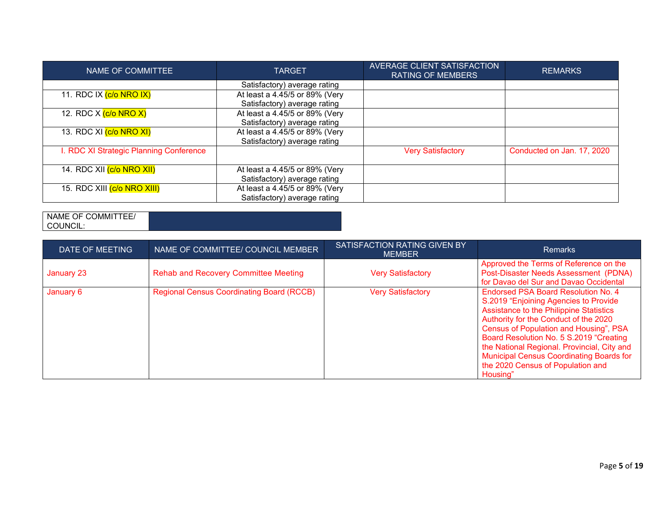| NAME OF COMMITTEE                       | <b>TARGET</b>                  | AVERAGE CLIENT SATISFACTION<br><b>RATING OF MEMBERS</b> | <b>REMARKS</b>             |
|-----------------------------------------|--------------------------------|---------------------------------------------------------|----------------------------|
|                                         | Satisfactory) average rating   |                                                         |                            |
| 11. RDC IX (c/o NRO IX)                 | At least a 4.45/5 or 89% (Very |                                                         |                            |
|                                         | Satisfactory) average rating   |                                                         |                            |
| 12. RDC X (c/o NRO X)                   | At least a 4.45/5 or 89% (Very |                                                         |                            |
|                                         | Satisfactory) average rating   |                                                         |                            |
| 13. RDC XI (c/o NRO XI)                 | At least a 4.45/5 or 89% (Very |                                                         |                            |
|                                         | Satisfactory) average rating   |                                                         |                            |
| I. RDC XI Strategic Planning Conference |                                | <b>Very Satisfactory</b>                                | Conducted on Jan. 17, 2020 |
| 14. RDC XII <mark>(c/o NRO XII)</mark>  | At least a 4.45/5 or 89% (Very |                                                         |                            |
|                                         | Satisfactory) average rating   |                                                         |                            |
| 15. RDC XIII (c/o NRO XIII)             | At least a 4.45/5 or 89% (Very |                                                         |                            |
|                                         | Satisfactory) average rating   |                                                         |                            |

# NAME OF COMMITTEE/ COUNCIL:

| DATE OF MEETING | NAME OF COMMITTEE/ COUNCIL MEMBER                | SATISFACTION RATING GIVEN BY<br><b>MEMBER</b> | <b>Remarks</b>                                                                                                                                                                                                                                                                                                                                                                                                  |
|-----------------|--------------------------------------------------|-----------------------------------------------|-----------------------------------------------------------------------------------------------------------------------------------------------------------------------------------------------------------------------------------------------------------------------------------------------------------------------------------------------------------------------------------------------------------------|
| January 23      | <b>Rehab and Recovery Committee Meeting</b>      | <b>Very Satisfactory</b>                      | Approved the Terms of Reference on the<br>Post-Disaster Needs Assessment (PDNA)<br>for Davao del Sur and Davao Occidental                                                                                                                                                                                                                                                                                       |
| January 6       | <b>Regional Census Coordinating Board (RCCB)</b> | <b>Very Satisfactory</b>                      | <b>Endorsed PSA Board Resolution No. 4</b><br>S.2019 "Enjoining Agencies to Provide<br>Assistance to the Philippine Statistics<br>Authority for the Conduct of the 2020<br>Census of Population and Housing", PSA<br>Board Resolution No. 5 S.2019 "Creating<br>the National Regional. Provincial, City and<br><b>Municipal Census Coordinating Boards for</b><br>the 2020 Census of Population and<br>Housing" |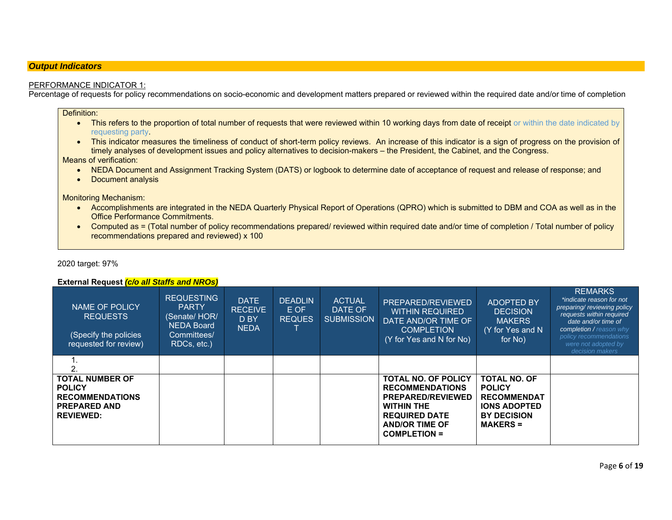#### *Output Indicators*

#### PERFORMANCE INDICATOR 1:

Percentage of requests for policy recommendations on socio-economic and development matters prepared or reviewed within the required date and/or time of completion

#### Definition:

- This refers to the proportion of total number of requests that were reviewed within 10 working days from date of receipt or within the date indicated by requesting party.
- This indicator measures the timeliness of conduct of short-term policy reviews. An increase of this indicator is a sign of progress on the provision of timely analyses of development issues and policy alternatives to decision-makers – the President, the Cabinet, and the Congress.

#### Means of verification:

- NEDA Document and Assignment Tracking System (DATS) or logbook to determine date of acceptance of request and release of response; and
- Document analysis

Monitoring Mechanism:

- Accomplishments are integrated in the NEDA Quarterly Physical Report of Operations (QPRO) which is submitted to DBM and COA as well as in the Office Performance Commitments.
- Computed as = (Total number of policy recommendations prepared/ reviewed within required date and/or time of completion / Total number of policy recommendations prepared and reviewed) x 100

#### 2020 target: 97%

#### **External Request** *(c/o all Staffs and NROs)*

| NAME OF POLICY<br><b>REQUESTS</b><br>(Specify the policies<br>requested for review)                          | <b>REQUESTING</b><br><b>PARTY</b><br>(Senate/HOR/<br><b>NEDA Board</b><br>Committees/<br>RDCs, etc.) | <b>DATE</b><br><b>RECEIVE</b><br>D BY<br><b>NEDA</b> | DEADLIN<br>E OF<br><b>REQUES</b> | <b>ACTUAL</b><br><b>DATE OF</b><br><b>SUBMISSION</b> | PREPARED/REVIEWED<br><b>WITHIN REQUIRED</b><br>DATE AND/OR TIME OF<br><b>COMPLETION</b><br>(Y for Yes and N for No)                                                           | <b>ADOPTED BY</b><br><b>DECISION</b><br><b>MAKERS</b><br>(Y for Yes and N<br>for No)                                       | <b>REMARKS</b><br>*indicate reason for not<br>preparing/reviewing policy<br>requests within required<br>date and/or time of<br>completion / reason why<br>policy recommendations<br>were not adopted by<br>decision makers |
|--------------------------------------------------------------------------------------------------------------|------------------------------------------------------------------------------------------------------|------------------------------------------------------|----------------------------------|------------------------------------------------------|-------------------------------------------------------------------------------------------------------------------------------------------------------------------------------|----------------------------------------------------------------------------------------------------------------------------|----------------------------------------------------------------------------------------------------------------------------------------------------------------------------------------------------------------------------|
|                                                                                                              |                                                                                                      |                                                      |                                  |                                                      |                                                                                                                                                                               |                                                                                                                            |                                                                                                                                                                                                                            |
| <b>TOTAL NUMBER OF</b><br><b>POLICY</b><br><b>RECOMMENDATIONS</b><br><b>PREPARED AND</b><br><b>REVIEWED:</b> |                                                                                                      |                                                      |                                  |                                                      | <b>TOTAL NO. OF POLICY</b><br><b>RECOMMENDATIONS</b><br><b>PREPARED/REVIEWED</b><br><b>WITHIN THE</b><br><b>REQUIRED DATE</b><br><b>AND/OR TIME OF</b><br><b>COMPLETION =</b> | <b>TOTAL NO. OF</b><br><b>POLICY</b><br><b>RECOMMENDAT</b><br><b>IONS ADOPTED</b><br><b>BY DECISION</b><br><b>MAKERS =</b> |                                                                                                                                                                                                                            |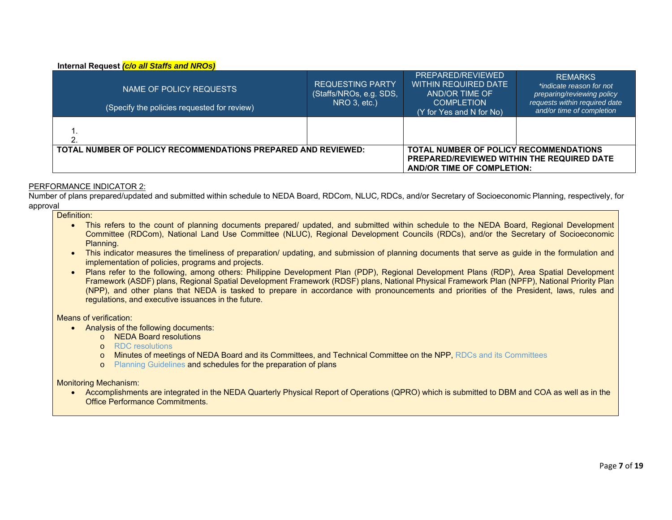#### **Internal Request** *(c/o all Staffs and NROs)*

| NAME OF POLICY REQUESTS<br>(Specify the policies requested for review) | <b>REQUESTING PARTY</b><br>(Staffs/NROs, e.g. SDS,<br>$NRO$ 3, etc.)                   | PREPARED/REVIEWED<br>WITHIN REQUIRED DATE<br>AND/OR TIME OF<br><b>COMPLETION</b><br>(Y for Yes and N for No) | <b>REMARKS</b><br>*indicate reason for not<br>preparing/reviewing policy<br>requests within required date<br>and/or time of completion |
|------------------------------------------------------------------------|----------------------------------------------------------------------------------------|--------------------------------------------------------------------------------------------------------------|----------------------------------------------------------------------------------------------------------------------------------------|
|                                                                        |                                                                                        |                                                                                                              |                                                                                                                                        |
|                                                                        |                                                                                        |                                                                                                              |                                                                                                                                        |
|                                                                        | <b>TOTAL NUMBER OF POLICY RECOMMENDATIONS PREPARED AND REVIEWED:</b>                   |                                                                                                              |                                                                                                                                        |
|                                                                        | <b>PREPARED/REVIEWED WITHIN THE REQUIRED DATE</b><br><b>AND/OR TIME OF COMPLETION:</b> |                                                                                                              |                                                                                                                                        |

#### PERFORMANCE INDICATOR 2:

Number of plans prepared/updated and submitted within schedule to NEDA Board, RDCom, NLUC, RDCs, and/or Secretary of Socioeconomic Planning, respectively, for approval

#### Definition:

- This refers to the count of planning documents prepared/ updated, and submitted within schedule to the NEDA Board, Regional Development Committee (RDCom), National Land Use Committee (NLUC), Regional Development Councils (RDCs), and/or the Secretary of Socioeconomic Planning.
- This indicator measures the timeliness of preparation/ updating, and submission of planning documents that serve as guide in the formulation and implementation of policies, programs and projects.
- Plans refer to the following, among others: Philippine Development Plan (PDP), Regional Development Plans (RDP), Area Spatial Development Framework (ASDF) plans, Regional Spatial Development Framework (RDSF) plans, National Physical Framework Plan (NPFP), National Priority Plan (NPP), and other plans that NEDA is tasked to prepare in accordance with pronouncements and priorities of the President, laws, rules and regulations, and executive issuances in the future.

#### Means of verification:

- Analysis of the following documents:
	- o NEDA Board resolutions
	- o RDC resolutions
	- <sup>o</sup> Minutes of meetings of NEDA Board and its Committees, and Technical Committee on the NPP, RDCs and its Committees
	- o Planning Guidelines and schedules for the preparation of plans

#### Monitoring Mechanism:

 Accomplishments are integrated in the NEDA Quarterly Physical Report of Operations (QPRO) which is submitted to DBM and COA as well as in the Office Performance Commitments.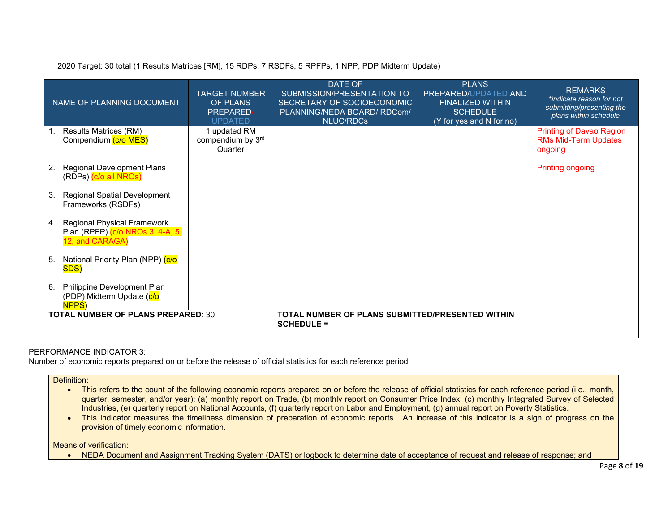2020 Target: 30 total (1 Results Matrices [RM], 15 RDPs, 7 RSDFs, 5 RPFPs, 1 NPP, PDP Midterm Update)

| NAME OF PLANNING DOCUMENT                                                                | <b>TARGET NUMBER</b><br>OF PLANS<br><b>PREPARED</b><br><b>UPDATED</b> | DATE OF<br>SUBMISSION/PRESENTATION TO<br>SECRETARY OF SOCIOECONOMIC<br>PLANNING/NEDA BOARD/ RDCom/<br><b>NLUC/RDCs</b> | <b>PLANS</b><br>PREPARED/UPDATED AND<br><b>FINALIZED WITHIN</b><br><b>SCHEDULE</b><br>(Y for yes and N for no) | <b>REMARKS</b><br>*indicate reason for not<br>submitting/presenting the<br>plans within schedule |
|------------------------------------------------------------------------------------------|-----------------------------------------------------------------------|------------------------------------------------------------------------------------------------------------------------|----------------------------------------------------------------------------------------------------------------|--------------------------------------------------------------------------------------------------|
| <b>Results Matrices (RM)</b><br>Compendium (c/o MES)                                     | 1 updated RM<br>compendium by 3rd<br>Quarter                          |                                                                                                                        |                                                                                                                | <b>Printing of Davao Region</b><br><b>RMs Mid-Term Updates</b><br>ongoing                        |
| <b>Regional Development Plans</b><br>2.<br>(RDPs) (c/o all NROs)                         |                                                                       |                                                                                                                        |                                                                                                                | <b>Printing ongoing</b>                                                                          |
| <b>Regional Spatial Development</b><br>3.<br>Frameworks (RSDFs)                          |                                                                       |                                                                                                                        |                                                                                                                |                                                                                                  |
| Regional Physical Framework<br>4.<br>Plan (RPFP) (c/o NROs 3, 4-A, 5,<br>12, and CARAGA) |                                                                       |                                                                                                                        |                                                                                                                |                                                                                                  |
| National Priority Plan (NPP) (c/o<br>5.<br>SDS)                                          |                                                                       |                                                                                                                        |                                                                                                                |                                                                                                  |
| Philippine Development Plan<br>6.<br>(PDP) Midterm Update (c/o<br>NPPS <sup>)</sup>      |                                                                       |                                                                                                                        |                                                                                                                |                                                                                                  |
| <b>TOTAL NUMBER OF PLANS PREPARED: 30</b>                                                |                                                                       | TOTAL NUMBER OF PLANS SUBMITTED/PRESENTED WITHIN<br><b>SCHEDULE =</b>                                                  |                                                                                                                |                                                                                                  |

#### PERFORMANCE INDICATOR 3:

Number of economic reports prepared on or before the release of official statistics for each reference period

### Definition:

- This refers to the count of the following economic reports prepared on or before the release of official statistics for each reference period (i.e., month, quarter, semester, and/or year): (a) monthly report on Trade, (b) monthly report on Consumer Price Index, (c) monthly Integrated Survey of Selected Industries, (e) quarterly report on National Accounts, (f) quarterly report on Labor and Employment, (g) annual report on Poverty Statistics.
- This indicator measures the timeliness dimension of preparation of economic reports. An increase of this indicator is a sign of progress on the provision of timely economic information.

#### Means of verification:

NEDA Document and Assignment Tracking System (DATS) or logbook to determine date of acceptance of request and release of response; and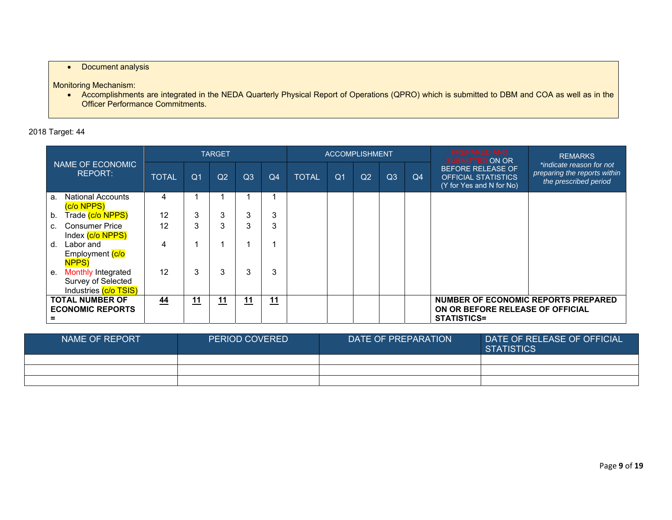# • Document analysis

Monitoring Mechanism:

 Accomplishments are integrated in the NEDA Quarterly Physical Report of Operations (QPRO) which is submitted to DBM and COA as well as in the Officer Performance Commitments.

# 2018 Target: 44

|                                                                                |              |                | <b>TARGET</b>  |                |    |              |                | <b>ACCOMPLISHMENT</b> |    |    | <b>PREPARED AND</b><br><b>SUBMITTED ON OR</b>                                          | <b>REMARKS</b>                                                                    |
|--------------------------------------------------------------------------------|--------------|----------------|----------------|----------------|----|--------------|----------------|-----------------------|----|----|----------------------------------------------------------------------------------------|-----------------------------------------------------------------------------------|
| NAME OF ECONOMIC<br><b>REPORT:</b>                                             | <b>TOTAL</b> | Q <sub>1</sub> | Q <sub>2</sub> | Q <sub>3</sub> | Q4 | <b>TOTAL</b> | Q <sub>1</sub> | Q2                    | Q3 | Q4 | <b>BEFORE RELEASE OF</b><br><b>OFFICIAL STATISTICS</b><br>(Y for Yes and N for No)     | *indicate reason for not<br>preparing the reports within<br>the prescribed period |
| <b>National Accounts</b><br>a.<br>(c/o NPPS)                                   | 4            |                |                |                |    |              |                |                       |    |    |                                                                                        |                                                                                   |
| Trade (c/o NPPS)<br>b.                                                         | 12           | 3              | 3              | 3              | 3  |              |                |                       |    |    |                                                                                        |                                                                                   |
| <b>Consumer Price</b><br>c.<br>Index (c/o NPPS)                                | 12           | 3              | 3              | 3              | 3  |              |                |                       |    |    |                                                                                        |                                                                                   |
| Labor and<br>d.<br>Employment (c/o<br><b>NPPS</b> )                            | 4            |                |                |                | 1  |              |                |                       |    |    |                                                                                        |                                                                                   |
| <b>Monthly Integrated</b><br>е.<br>Survey of Selected<br>Industries (c/o TSIS) | 12           | 3              | 3              | 3              | 3  |              |                |                       |    |    |                                                                                        |                                                                                   |
| <b>TOTAL NUMBER OF</b><br><b>ECONOMIC REPORTS</b>                              | 44           | 11             | 11             | 11             | 11 |              |                |                       |    |    | NUMBER OF ECONOMIC REPORTS PREPARED<br>ON OR BEFORE RELEASE OF OFFICIAL<br>STATISTICS= |                                                                                   |

| NAME OF REPORT | <b>PERIOD COVERED</b> | DATE OF PREPARATION | DATE OF RELEASE OF OFFICIAL<br><b>STATISTICS</b> |
|----------------|-----------------------|---------------------|--------------------------------------------------|
|                |                       |                     |                                                  |
|                |                       |                     |                                                  |
|                |                       |                     |                                                  |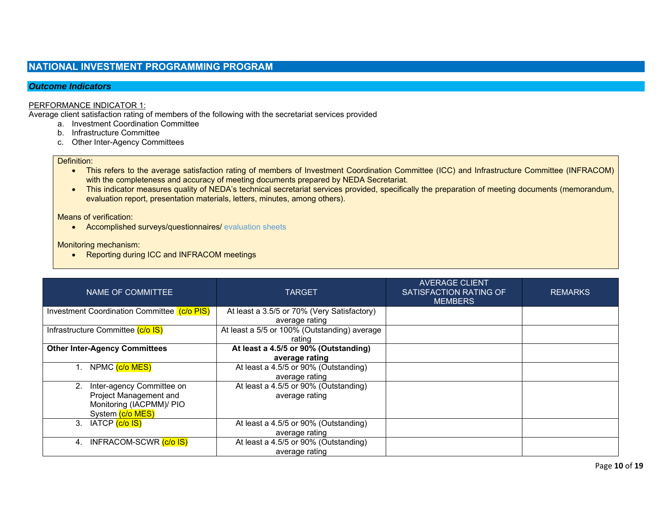# **NATIONAL INVESTMENT PROGRAMMING PROGRAM**

#### *Outcome Indicators*

#### PERFORMANCE INDICATOR 1:

Average client satisfaction rating of members of the following with the secretariat services provided

- a. Investment Coordination Committee
- b. Infrastructure Committee
- c. Other Inter-Agency Committees

#### Definition:

- This refers to the average satisfaction rating of members of Investment Coordination Committee (ICC) and Infrastructure Committee (INFRACOM) with the completeness and accuracy of meeting documents prepared by NEDA Secretariat.
- . This indicator measures quality of NEDA's technical secretariat services provided, specifically the preparation of meeting documents (memorandum, evaluation report, presentation materials, letters, minutes, among others).

Means of verification:

Accomplished surveys/questionnaires/ evaluation sheets

Monitoring mechanism:

• Reporting during ICC and INFRACOM meetings

| NAME OF COMMITTEE                           | TARGET                                       | <b>AVERAGE CLIENT</b><br>SATISFACTION RATING OF<br><b>MEMBERS</b> | <b>REMARKS</b> |
|---------------------------------------------|----------------------------------------------|-------------------------------------------------------------------|----------------|
| Investment Coordination Committee (c/o PIS) | At least a 3.5/5 or 70% (Very Satisfactory)  |                                                                   |                |
|                                             | average rating                               |                                                                   |                |
| Infrastructure Committee (c/o IS)           | At least a 5/5 or 100% (Outstanding) average |                                                                   |                |
|                                             | rating                                       |                                                                   |                |
| <b>Other Inter-Agency Committees</b>        | At least a 4.5/5 or 90% (Outstanding)        |                                                                   |                |
|                                             | average rating                               |                                                                   |                |
| NPMC (c/o MES)                              | At least a 4.5/5 or 90% (Outstanding)        |                                                                   |                |
|                                             | average rating                               |                                                                   |                |
| Inter-agency Committee on                   | At least a 4.5/5 or 90% (Outstanding)        |                                                                   |                |
| Project Management and                      | average rating                               |                                                                   |                |
| Monitoring (IACPMM)/ PIO                    |                                              |                                                                   |                |
| System (c/o MES)                            |                                              |                                                                   |                |
| IATCP <mark>(c/o IS)</mark><br>3.           | At least a 4.5/5 or 90% (Outstanding)        |                                                                   |                |
|                                             | average rating                               |                                                                   |                |
| INFRACOM-SCWR (c/o IS)<br>4.                | At least a 4.5/5 or 90% (Outstanding)        |                                                                   |                |
|                                             | average rating                               |                                                                   |                |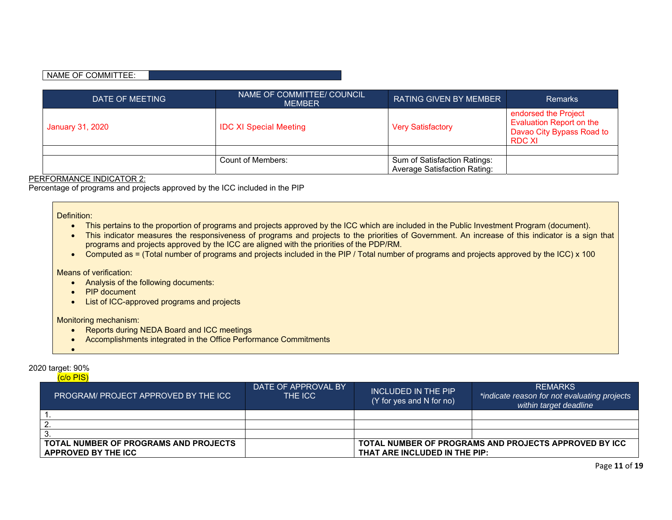#### NAME OF COMMITTEE:

| DATE OF MEETING  | NAME OF COMMITTEE/ COUNCIL<br><b>MEMBER</b> | <b>RATING GIVEN BY MEMBER</b>                                       | <b>Remarks</b>                                                                                        |
|------------------|---------------------------------------------|---------------------------------------------------------------------|-------------------------------------------------------------------------------------------------------|
| January 31, 2020 | <b>IDC XI Special Meeting</b>               | <b>Very Satisfactory</b>                                            | endorsed the Project<br><b>Evaluation Report on the</b><br>Davao City Bypass Road to<br><b>RDC XI</b> |
|                  |                                             |                                                                     |                                                                                                       |
|                  | Count of Members:                           | Sum of Satisfaction Ratings:<br><b>Average Satisfaction Rating:</b> |                                                                                                       |

#### PERFORMANCE INDICATOR 2:

Percentage of programs and projects approved by the ICC included in the PIP

#### Definition:

- This pertains to the proportion of programs and projects approved by the ICC which are included in the Public Investment Program (document).
- This indicator measures the responsiveness of programs and projects to the priorities of Government. An increase of this indicator is a sign that programs and projects approved by the ICC are aligned with the priorities of the PDP/RM.
- Computed as = (Total number of programs and projects included in the PIP / Total number of programs and projects approved by the ICC) x 100

#### Means of verification:

- Analysis of the following documents:
- PIP document
- List of ICC-approved programs and projects

#### Monitoring mechanism:

- Reports during NEDA Board and ICC meetings
- Accomplishments integrated in the Office Performance Commitments

#### 2020 target: 90%

| $(c/o$ PIS) |
|-------------|
|             |

 $\bullet$ 

| <b>PROGRAM/ PROJECT APPROVED BY THE ICC</b> | DATE OF APPROVAL BY<br>THE ICC | INCLUDED IN THE PIP<br>(Y for yes and N for no) | <b>REMARKS</b><br>*indicate reason for not evaluating projects<br>within target deadline |  |  |  |
|---------------------------------------------|--------------------------------|-------------------------------------------------|------------------------------------------------------------------------------------------|--|--|--|
|                                             |                                |                                                 |                                                                                          |  |  |  |
|                                             |                                |                                                 |                                                                                          |  |  |  |
|                                             |                                |                                                 |                                                                                          |  |  |  |
| TOTAL NUMBER OF PROGRAMS AND PROJECTS       |                                |                                                 | TOTAL NUMBER OF PROGRAMS AND PROJECTS APPROVED BY ICC                                    |  |  |  |
| APPROVED BY THE ICC                         |                                | THAT ARE INCLUDED IN THE PIP:                   |                                                                                          |  |  |  |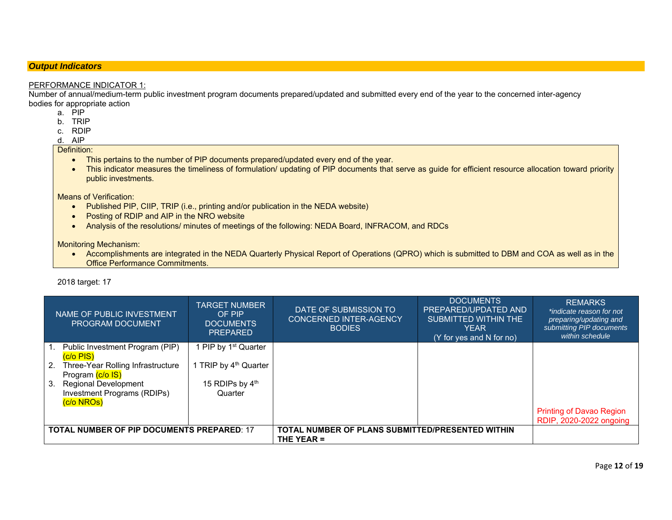### *Output Indicators*

#### PERFORMANCE INDICATOR 1:

 Number of annual/medium-term public investment program documents prepared/updated and submitted every end of the year to the concerned inter-agency bodies for appropriate action

- a. PIP
- b. TRIP
- c. RDIP
- d. AIP

#### Definition:

- This pertains to the number of PIP documents prepared/updated every end of the year.
- This indicator measures the timeliness of formulation/ updating of PIP documents that serve as guide for efficient resource allocation toward priority public investments.

Means of Verification:

- Published PIP, CIIP, TRIP (i.e., printing and/or publication in the NEDA website)
- Posting of RDIP and AIP in the NRO website
- Analysis of the resolutions/ minutes of meetings of the following: NEDA Board, INFRACOM, and RDCs

Monitoring Mechanism:

• Accomplishments are integrated in the NEDA Quarterly Physical Report of Operations (QPRO) which is submitted to DBM and COA as well as in the Office Performance Commitments.

|                                                   | NAME OF PUBLIC INVESTMENT<br><b>PROGRAM DOCUMENT</b>     | <b>TARGET NUMBER</b><br>OF PIP<br><b>DOCUMENTS</b><br><b>PREPARED</b> | DATE OF SUBMISSION TO<br><b>CONCERNED INTER-AGENCY</b><br><b>BODIES</b> | <b>DOCUMENTS</b><br>PREPARED/UPDATED AND<br>SUBMITTED WITHIN THE<br><b>YEAR</b><br>(Y for yes and N for no) | <b>REMARKS</b><br>*indicate reason for not<br>preparing/updating and<br>submitting PIP documents<br>within schedule |
|---------------------------------------------------|----------------------------------------------------------|-----------------------------------------------------------------------|-------------------------------------------------------------------------|-------------------------------------------------------------------------------------------------------------|---------------------------------------------------------------------------------------------------------------------|
|                                                   | Public Investment Program (PIP)<br>$(c/o$ PIS)           | 1 PIP by 1 <sup>st</sup> Quarter                                      |                                                                         |                                                                                                             |                                                                                                                     |
|                                                   | 2. Three-Year Rolling Infrastructure<br>Program (c/o IS) | 1 TRIP by 4 <sup>th</sup> Quarter                                     |                                                                         |                                                                                                             |                                                                                                                     |
| 3.                                                | <b>Regional Development</b>                              | 15 RDIPs by 4th                                                       |                                                                         |                                                                                                             |                                                                                                                     |
|                                                   | Investment Programs (RDIPs)                              | Quarter                                                               |                                                                         |                                                                                                             |                                                                                                                     |
|                                                   | (c/o NROs)                                               |                                                                       |                                                                         |                                                                                                             |                                                                                                                     |
|                                                   |                                                          |                                                                       |                                                                         |                                                                                                             | <b>Printing of Davao Region</b><br>RDIP, 2020-2022 ongoing                                                          |
| <b>TOTAL NUMBER OF PIP DOCUMENTS PREPARED: 17</b> |                                                          |                                                                       | TOTAL NUMBER OF PLANS SUBMITTED/PRESENTED WITHIN<br>THE YEAR $=$        |                                                                                                             |                                                                                                                     |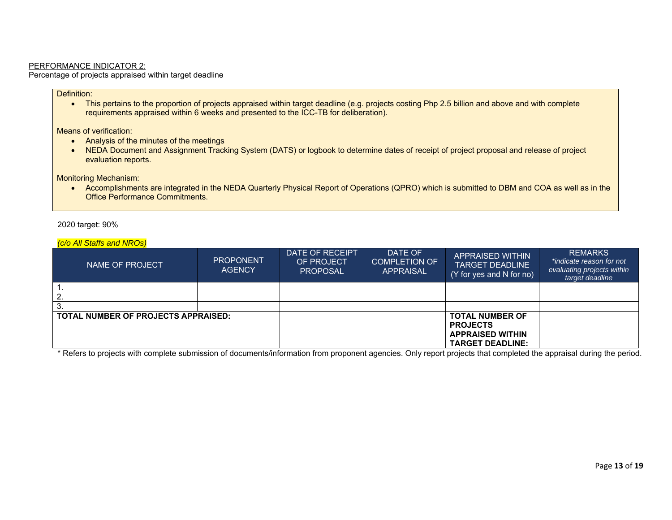#### PERFORMANCE INDICATOR 2:

Percentage of projects appraised within target deadline

#### Definition:

• This pertains to the proportion of projects appraised within target deadline (e.g. projects costing Php 2.5 billion and above and with complete requirements appraised within 6 weeks and presented to the ICC-TB for deliberation).

Means of verification:

- Analysis of the minutes of the meetings
- NEDA Document and Assignment Tracking System (DATS) or logbook to determine dates of receipt of project proposal and release of project evaluation reports.

Monitoring Mechanism:

 Accomplishments are integrated in the NEDA Quarterly Physical Report of Operations (QPRO) which is submitted to DBM and COA as well as in the Office Performance Commitments.

2020 target: 90%

*(c/o All Staffs and NROs)* 

| NAME OF PROJECT                     | <b>PROPONENT</b><br><b>AGENCY</b> | DATE OF RECEIPT<br>OF PROJECT<br><b>PROPOSAL</b> | DATE OF<br><b>COMPLETION OF</b><br><b>APPRAISAL</b> | <b>APPRAISED WITHIN</b><br><b>TARGET DEADLINE</b><br>(Y for yes and N for no)                   | <b>REMARKS</b><br>*indicate reason for not<br>evaluating projects within<br>target deadline |
|-------------------------------------|-----------------------------------|--------------------------------------------------|-----------------------------------------------------|-------------------------------------------------------------------------------------------------|---------------------------------------------------------------------------------------------|
|                                     |                                   |                                                  |                                                     |                                                                                                 |                                                                                             |
|                                     |                                   |                                                  |                                                     |                                                                                                 |                                                                                             |
|                                     |                                   |                                                  |                                                     |                                                                                                 |                                                                                             |
| TOTAL NUMBER OF PROJECTS APPRAISED: |                                   |                                                  |                                                     | <b>TOTAL NUMBER OF</b><br><b>PROJECTS</b><br><b>APPRAISED WITHIN</b><br><b>TARGET DEADLINE:</b> |                                                                                             |

\* Refers to projects with complete submission of documents/information from proponent agencies. Only report projects that completed the appraisal during the period.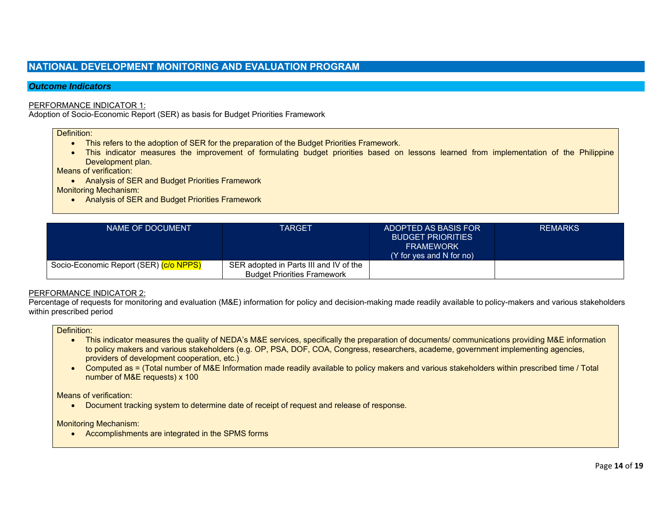# **NATIONAL DEVELOPMENT MONITORING AND EVALUATION PROGRAM**

#### *Outcome Indicators*

#### PERFORMANCE INDICATOR 1:

Adoption of Socio-Economic Report (SER) as basis for Budget Priorities Framework

Definition:

- This refers to the adoption of SER for the preparation of the Budget Priorities Framework.
- This indicator measures the improvement of formulating budget priorities based on lessons learned from implementation of the Philippine Development plan.

Means of verification:

Analysis of SER and Budget Priorities Framework

Monitoring Mechanism:

Analysis of SER and Budget Priorities Framework

| NAME OF DOCUMENT                       | TARGET                                 | ADOPTED AS BASIS FOR<br><b>BUDGET PRIORITIES</b><br><b>FRAMEWORK</b><br>(Y for yes and N for no) | <b>REMARKS</b> |
|----------------------------------------|----------------------------------------|--------------------------------------------------------------------------------------------------|----------------|
| Socio-Economic Report (SER) (c/o NPPS) | SER adopted in Parts III and IV of the |                                                                                                  |                |
|                                        | <b>Budget Priorities Framework</b>     |                                                                                                  |                |

#### PERFORMANCE INDICATOR 2:

Percentage of requests for monitoring and evaluation (M&E) information for policy and decision-making made readily available t o policy-makers and various stakeholders within prescribed period

#### Definition:

- This indicator measures the quality of NEDA's M&E services, specifically the preparation of documents/ communications providing M&E information to policy makers and various stakeholders (e.g. OP, PSA, DOF, COA, Congress, researchers, academe, government implementing agencies, providers of development cooperation, etc.)
- Computed as = (Total number of M&E Information made readily available to policy makers and various stakeholders within prescribed time / Total number of M&E requests) x 100

Means of verification:

Document tracking system to determine date of receipt of request and release of response.

Monitoring Mechanism:

• Accomplishments are integrated in the SPMS forms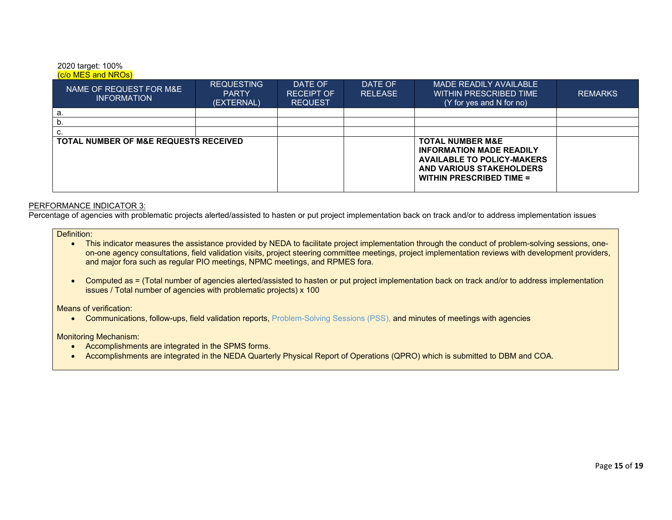#### 2020 target: 100%  $(c/\alpha$  MES and NROs)

| NAME OF REQUEST FOR M&E<br>INFORMATION           | <b>REQUESTING</b><br><b>PARTY</b><br>(EXTERNAL) | DATE OF<br><b>RECEIPT OF</b><br><b>REQUEST</b> | DATE OF<br><b>RELEASE</b> | MADE READILY AVAILABLE<br>WITHIN PRESCRIBED TIME<br>(Y for yes and N for no)                                                                                       | <b>REMARKS</b> |
|--------------------------------------------------|-------------------------------------------------|------------------------------------------------|---------------------------|--------------------------------------------------------------------------------------------------------------------------------------------------------------------|----------------|
| а.                                               |                                                 |                                                |                           |                                                                                                                                                                    |                |
| υ.                                               |                                                 |                                                |                           |                                                                                                                                                                    |                |
| c.                                               |                                                 |                                                |                           |                                                                                                                                                                    |                |
| <b>TOTAL NUMBER OF M&amp;E REQUESTS RECEIVED</b> |                                                 |                                                |                           | <b>TOTAL NUMBER M&amp;E</b><br><b>INFORMATION MADE READILY</b><br><b>AVAILABLE TO POLICY-MAKERS</b><br>AND VARIOUS STAKEHOLDERS<br><b>WITHIN PRESCRIBED TIME =</b> |                |

#### PERFORMANCE INDICATOR 3:

Percentage of agencies with problematic projects alerted/assisted to hasten or put project implementation back on track and/or to address implementation issues

#### Definition:

- This indicator measures the assistance provided by NEDA to facilitate project implementation through the conduct of problem-solving sessions, oneon-one agency consultations, field validation visits, project steering committee meetings, project implementation reviews with development providers, and major fora such as regular PIO meetings, NPMC meetings, and RPMES fora.
- Computed as = (Total number of agencies alerted/assisted to hasten or put project implementation back on track and/or to address implementation issues / Total number of agencies with problematic projects) x 100

Means of verification:

Communications, follow-ups, field validation reports, Problem-Solving Sessions (PSS), and minutes of meetings with agencies

Monitoring Mechanism:

- Accomplishments are integrated in the SPMS forms.
- Accomplishments are integrated in the NEDA Quarterly Physical Report of Operations (QPRO) which is submitted to DBM and COA.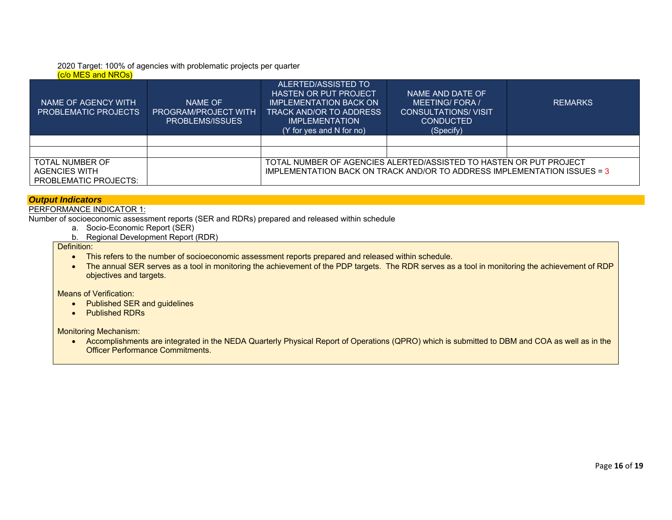# 2020 Target: 100% of agencies with problematic projects per quarter

# (c/o MES and NROs)

| NAME OF AGENCY WITH<br><b>PROBLEMATIC PROJECTS</b>               | NAME OF<br><b>PROGRAM/PROJECT WITH</b><br>PROBLEMS/ISSUES | ALERTED/ASSISTED TO<br><b>HASTEN OR PUT PROJECT</b><br><b>IMPLEMENTATION BACK ON</b><br>TRACK AND/OR TO ADDRESS<br><b>IMPLEMENTATION</b><br>(Y for yes and N for no) | NAME AND DATE OF<br><b>MEETING/FORA/</b><br><b>CONSULTATIONS/ VISIT</b><br><b>CONDUCTED</b><br>(Specify) | <b>REMARKS</b> |  |  |  |
|------------------------------------------------------------------|-----------------------------------------------------------|----------------------------------------------------------------------------------------------------------------------------------------------------------------------|----------------------------------------------------------------------------------------------------------|----------------|--|--|--|
|                                                                  |                                                           |                                                                                                                                                                      |                                                                                                          |                |  |  |  |
|                                                                  |                                                           |                                                                                                                                                                      |                                                                                                          |                |  |  |  |
| TOTAL NUMBER OF<br><b>AGENCIES WITH</b><br>PROBLEMATIC PROJECTS: |                                                           | TOTAL NUMBER OF AGENCIES ALERTED/ASSISTED TO HASTEN OR PUT PROJECT<br>IMPLEMENTATION BACK ON TRACK AND/OR TO ADDRESS IMPLEMENTATION ISSUES = 3                       |                                                                                                          |                |  |  |  |

#### *Output Indicators*

#### PERFORMANCE INDICATOR 1:

Number of socioeconomic assessment reports (SER and RDRs) prepared and released within schedule

- a. Socio-Economic Report (SER)
- b. Regional Development Report (RDR)

Definition:

- This refers to the number of socioeconomic assessment reports prepared and released within schedule.
- The annual SER serves as a tool in monitoring the achievement of the PDP targets. The RDR serves as a tool in monitoring the achievement of RDP objectives and targets.

Means of Verification:

- Published SER and guidelines
- Published RDRs

Monitoring Mechanism:

• Accomplishments are integrated in the NEDA Quarterly Physical Report of Operations (QPRO) which is submitted to DBM and COA as well as in the Officer Performance Commitments.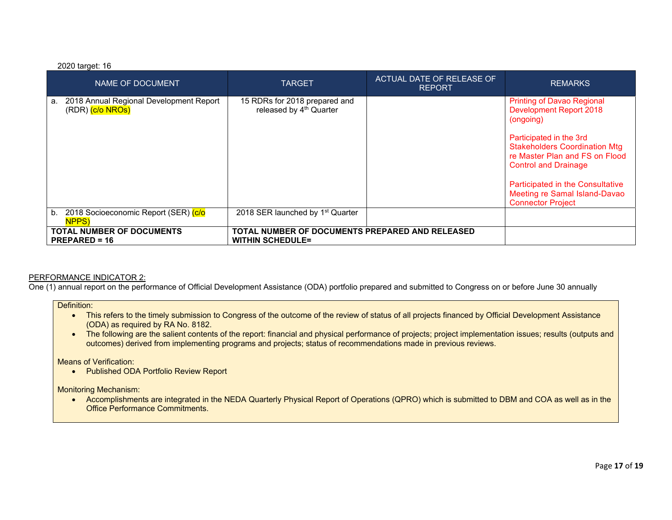#### 2020 target: 16

| NAME OF DOCUMENT                                                  | <b>TARGET</b>                                                              | ACTUAL DATE OF RELEASE OF<br><b>REPORT</b> | <b>REMARKS</b>                                                                                                                                                                                                                                                                                                        |
|-------------------------------------------------------------------|----------------------------------------------------------------------------|--------------------------------------------|-----------------------------------------------------------------------------------------------------------------------------------------------------------------------------------------------------------------------------------------------------------------------------------------------------------------------|
| 2018 Annual Regional Development Report<br>a.<br>(RDR) (c/o NROs) | 15 RDRs for 2018 prepared and<br>released by 4 <sup>th</sup> Quarter       |                                            | <b>Printing of Davao Regional</b><br><b>Development Report 2018</b><br>(ongoing)<br>Participated in the 3rd<br><b>Stakeholders Coordination Mtg</b><br>re Master Plan and FS on Flood<br><b>Control and Drainage</b><br>Participated in the Consultative<br>Meeting re Samal Island-Davao<br><b>Connector Project</b> |
| 2018 Socioeconomic Report (SER) (c/o<br>b.<br><b>NPPS</b>         | 2018 SER launched by 1 <sup>st</sup> Quarter                               |                                            |                                                                                                                                                                                                                                                                                                                       |
| <b>TOTAL NUMBER OF DOCUMENTS</b><br>$PREPARENED = 16$             | TOTAL NUMBER OF DOCUMENTS PREPARED AND RELEASED<br><b>WITHIN SCHEDULE=</b> |                                            |                                                                                                                                                                                                                                                                                                                       |

#### PERFORMANCE INDICATOR 2:

One (1) annual report on the performance of Official Development Assistance (ODA) portfolio prepared and submitted to Congress on or before June 30 annually

Definition:

- This refers to the timely submission to Congress of the outcome of the review of status of all projects financed by Official Development Assistance (ODA) as required by RA No. 8182.
- The following are the salient contents of the report: financial and physical performance of projects; project implementation issues; results (outputs and outcomes) derived from implementing programs and projects; status of recommendations made in previous reviews.

Means of Verification:

Published ODA Portfolio Review Report

Monitoring Mechanism:

 Accomplishments are integrated in the NEDA Quarterly Physical Report of Operations (QPRO) which is submitted to DBM and COA as well as in the Office Performance Commitments.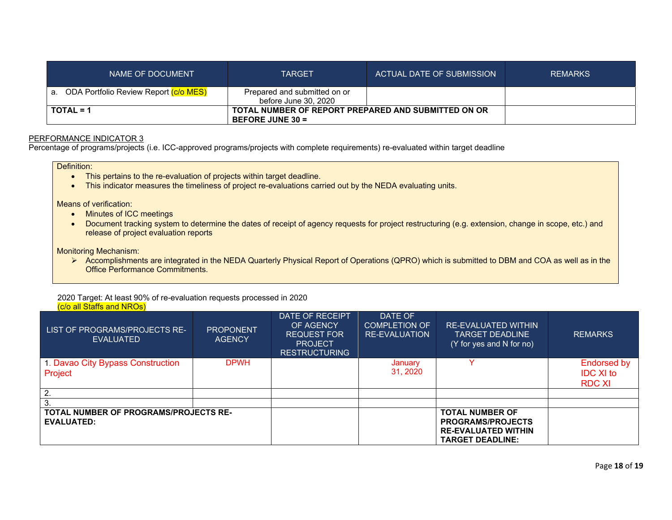| NAME OF DOCUMENT                         | <b>TARGET</b>                                                             | ACTUAL DATE OF SUBMISSION | <b>REMARKS</b> |
|------------------------------------------|---------------------------------------------------------------------------|---------------------------|----------------|
| a. ODA Portfolio Review Report (c/o MES) | Prepared and submitted on or<br>before June 30, 2020                      |                           |                |
| TOTAL = 1                                | TOTAL NUMBER OF REPORT PREPARED AND SUBMITTED ON OR<br>BEFORE JUNE $30 =$ |                           |                |

#### PERFORMANCE INDICATOR 3

Percentage of programs/projects (i.e. ICC-approved programs/projects with complete requirements) re-evaluated within target deadline

Definition:

- This pertains to the re-evaluation of projects within target deadline.
- This indicator measures the timeliness of project re-evaluations carried out by the NEDA evaluating units.

Means of verification:

- Minutes of ICC meetings
- Document tracking system to determine the dates of receipt of agency requests for project restructuring (e.g. extension, change in scope, etc.) and release of project evaluation reports

Monitoring Mechanism:

▶ Accomplishments are integrated in the NEDA Quarterly Physical Report of Operations (QPRO) which is submitted to DBM and COA as well as in the Office Performance Commitments.

#### 2020 Target: At least 90% of re-evaluation requests processed in 2020 (c/o all Staffs and NROs)

| LIST OF PROGRAMS/PROJECTS RE-<br><b>EVALUATED</b>                 | <b>PROPONENT</b><br><b>AGENCY</b> | DATE OF RECEIPT<br>OF AGENCY<br><b>REQUEST FOR</b><br><b>PROJECT</b><br><b>RESTRUCTURING</b> | DATE OF<br><b>COMPLETION OF</b><br><b>RE-EVALUATION</b> | <b>RE-EVALUATED WITHIN</b><br><b>TARGET DEADLINE</b><br>(Y for yes and N for no)                            | <b>REMARKS</b>                            |
|-------------------------------------------------------------------|-----------------------------------|----------------------------------------------------------------------------------------------|---------------------------------------------------------|-------------------------------------------------------------------------------------------------------------|-------------------------------------------|
| 1. Davao City Bypass Construction<br>Project                      | <b>DPWH</b>                       |                                                                                              | January<br>31, 2020                                     |                                                                                                             | Endorsed by<br><b>IDC XI to</b><br>RDC XI |
| $\overline{2}$                                                    |                                   |                                                                                              |                                                         |                                                                                                             |                                           |
| 3.                                                                |                                   |                                                                                              |                                                         |                                                                                                             |                                           |
| <b>TOTAL NUMBER OF PROGRAMS/PROJECTS RE-</b><br><b>EVALUATED:</b> |                                   |                                                                                              |                                                         | <b>TOTAL NUMBER OF</b><br><b>PROGRAMS/PROJECTS</b><br><b>RE-EVALUATED WITHIN</b><br><b>TARGET DEADLINE:</b> |                                           |